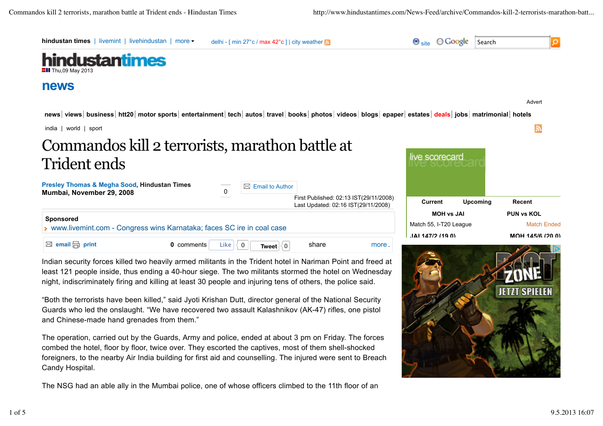